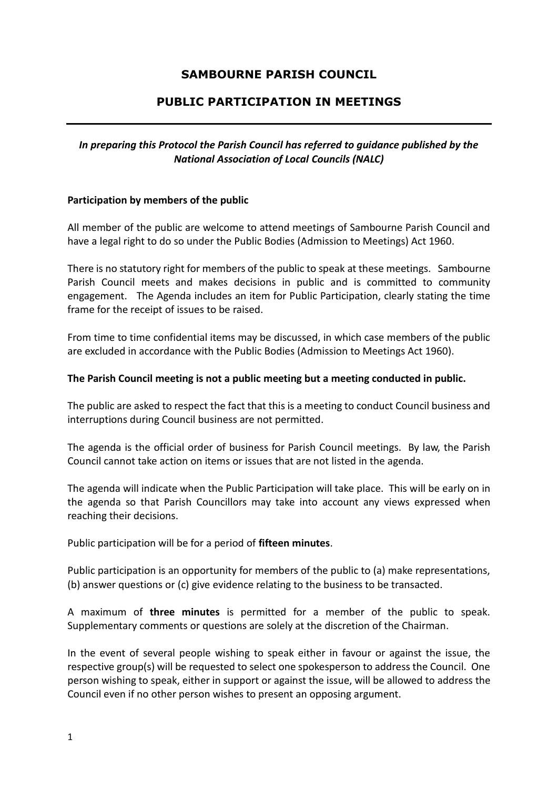# **SAMBOURNE PARISH COUNCIL**

## **PUBLIC PARTICIPATION IN MEETINGS**

### *In preparing this Protocol the Parish Council has referred to guidance published by the National Association of Local Councils (NALC)*

### **Participation by members of the public**

All member of the public are welcome to attend meetings of Sambourne Parish Council and have a legal right to do so under the Public Bodies (Admission to Meetings) Act 1960.

There is no statutory right for members of the public to speak at these meetings. Sambourne Parish Council meets and makes decisions in public and is committed to community engagement. The Agenda includes an item for Public Participation, clearly stating the time frame for the receipt of issues to be raised.

From time to time confidential items may be discussed, in which case members of the public are excluded in accordance with the Public Bodies (Admission to Meetings Act 1960).

#### **The Parish Council meeting is not a public meeting but a meeting conducted in public.**

The public are asked to respect the fact that this is a meeting to conduct Council business and interruptions during Council business are not permitted.

The agenda is the official order of business for Parish Council meetings. By law, the Parish Council cannot take action on items or issues that are not listed in the agenda.

The agenda will indicate when the Public Participation will take place. This will be early on in the agenda so that Parish Councillors may take into account any views expressed when reaching their decisions.

Public participation will be for a period of **fifteen minutes**.

Public participation is an opportunity for members of the public to (a) make representations, (b) answer questions or (c) give evidence relating to the business to be transacted.

A maximum of **three minutes** is permitted for a member of the public to speak. Supplementary comments or questions are solely at the discretion of the Chairman.

In the event of several people wishing to speak either in favour or against the issue, the respective group(s) will be requested to select one spokesperson to address the Council. One person wishing to speak, either in support or against the issue, will be allowed to address the Council even if no other person wishes to present an opposing argument.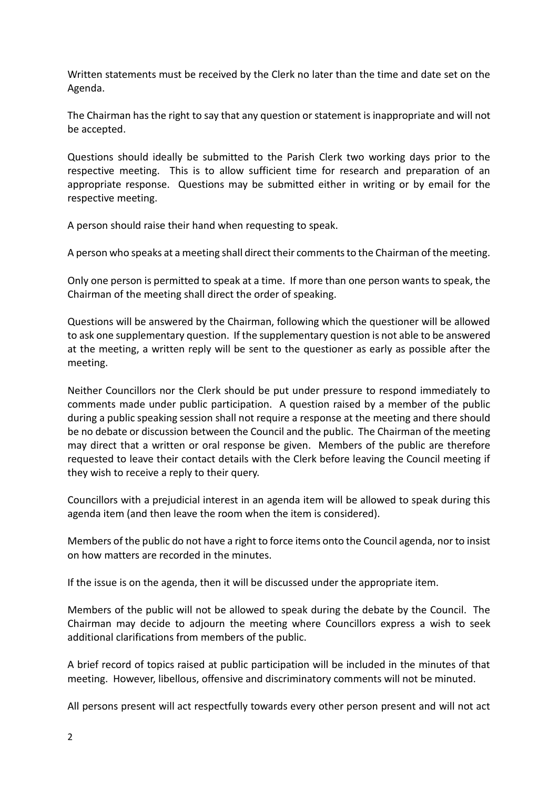Written statements must be received by the Clerk no later than the time and date set on the Agenda.

The Chairman has the right to say that any question or statement is inappropriate and will not be accepted.

Questions should ideally be submitted to the Parish Clerk two working days prior to the respective meeting. This is to allow sufficient time for research and preparation of an appropriate response. Questions may be submitted either in writing or by email for the respective meeting.

A person should raise their hand when requesting to speak.

A person who speaks at a meeting shall direct their comments to the Chairman of the meeting.

Only one person is permitted to speak at a time. If more than one person wants to speak, the Chairman of the meeting shall direct the order of speaking.

Questions will be answered by the Chairman, following which the questioner will be allowed to ask one supplementary question. If the supplementary question is not able to be answered at the meeting, a written reply will be sent to the questioner as early as possible after the meeting.

Neither Councillors nor the Clerk should be put under pressure to respond immediately to comments made under public participation. A question raised by a member of the public during a public speaking session shall not require a response at the meeting and there should be no debate or discussion between the Council and the public. The Chairman of the meeting may direct that a written or oral response be given. Members of the public are therefore requested to leave their contact details with the Clerk before leaving the Council meeting if they wish to receive a reply to their query.

Councillors with a prejudicial interest in an agenda item will be allowed to speak during this agenda item (and then leave the room when the item is considered).

Members of the public do not have a right to force items onto the Council agenda, nor to insist on how matters are recorded in the minutes.

If the issue is on the agenda, then it will be discussed under the appropriate item.

Members of the public will not be allowed to speak during the debate by the Council. The Chairman may decide to adjourn the meeting where Councillors express a wish to seek additional clarifications from members of the public.

A brief record of topics raised at public participation will be included in the minutes of that meeting. However, libellous, offensive and discriminatory comments will not be minuted.

All persons present will act respectfully towards every other person present and will not act